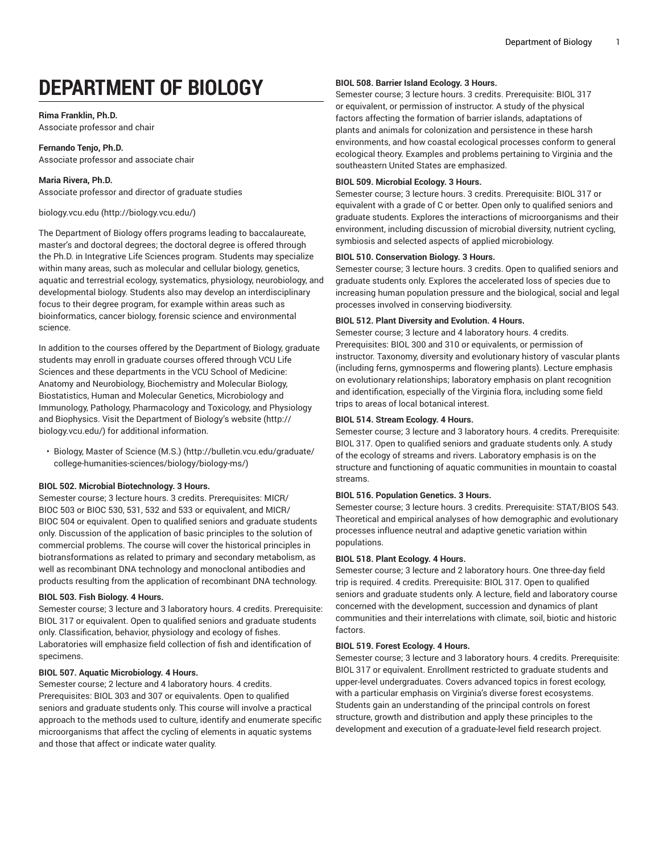# **DEPARTMENT OF BIOLOGY**

# **Rima Franklin, Ph.D.**

Associate professor and chair

**Fernando Tenjo, Ph.D.** Associate professor and associate chair

**Maria Rivera, Ph.D.** Associate professor and director of graduate studies

# [biology.vcu.edu](http://biology.vcu.edu/) (<http://biology.vcu.edu/>)

The Department of Biology offers programs leading to baccalaureate, master's and doctoral degrees; the doctoral degree is offered through the Ph.D. in Integrative Life Sciences program. Students may specialize within many areas, such as molecular and cellular biology, genetics, aquatic and terrestrial ecology, systematics, physiology, neurobiology, and developmental biology. Students also may develop an interdisciplinary focus to their degree program, for example within areas such as bioinformatics, cancer biology, forensic science and environmental science.

In addition to the courses offered by the Department of Biology, graduate students may enroll in graduate courses offered through VCU Life Sciences and these departments in the VCU School of Medicine: Anatomy and Neurobiology, Biochemistry and Molecular Biology, Biostatistics, Human and Molecular Genetics, Microbiology and Immunology, Pathology, Pharmacology and Toxicology, and Physiology and Biophysics. Visit the [Department](http://biology.vcu.edu/) of Biology's website [\(http://](http://biology.vcu.edu/) [biology.vcu.edu/](http://biology.vcu.edu/)) for additional information.

• Biology, Master of [Science](http://bulletin.vcu.edu/graduate/college-humanities-sciences/biology/biology-ms/) (M.S.) ([http://bulletin.vcu.edu/graduate/](http://bulletin.vcu.edu/graduate/college-humanities-sciences/biology/biology-ms/) [college-humanities-sciences/biology/biology-ms/\)](http://bulletin.vcu.edu/graduate/college-humanities-sciences/biology/biology-ms/)

# **BIOL 502. Microbial Biotechnology. 3 Hours.**

Semester course; 3 lecture hours. 3 credits. Prerequisites: MICR/ BIOC 503 or BIOC 530, 531, 532 and 533 or equivalent, and MICR/ BIOC 504 or equivalent. Open to qualified seniors and graduate students only. Discussion of the application of basic principles to the solution of commercial problems. The course will cover the historical principles in biotransformations as related to primary and secondary metabolism, as well as recombinant DNA technology and monoclonal antibodies and products resulting from the application of recombinant DNA technology.

# **BIOL 503. Fish Biology. 4 Hours.**

Semester course; 3 lecture and 3 laboratory hours. 4 credits. Prerequisite: BIOL 317 or equivalent. Open to qualified seniors and graduate students only. Classification, behavior, physiology and ecology of fishes. Laboratories will emphasize field collection of fish and identification of specimens.

# **BIOL 507. Aquatic Microbiology. 4 Hours.**

Semester course; 2 lecture and 4 laboratory hours. 4 credits. Prerequisites: BIOL 303 and 307 or equivalents. Open to qualified seniors and graduate students only. This course will involve a practical approach to the methods used to culture, identify and enumerate specific microorganisms that affect the cycling of elements in aquatic systems and those that affect or indicate water quality.

# **BIOL 508. Barrier Island Ecology. 3 Hours.**

Semester course; 3 lecture hours. 3 credits. Prerequisite: BIOL 317 or equivalent, or permission of instructor. A study of the physical factors affecting the formation of barrier islands, adaptations of plants and animals for colonization and persistence in these harsh environments, and how coastal ecological processes conform to general ecological theory. Examples and problems pertaining to Virginia and the southeastern United States are emphasized.

# **BIOL 509. Microbial Ecology. 3 Hours.**

Semester course; 3 lecture hours. 3 credits. Prerequisite: BIOL 317 or equivalent with a grade of C or better. Open only to qualified seniors and graduate students. Explores the interactions of microorganisms and their environment, including discussion of microbial diversity, nutrient cycling, symbiosis and selected aspects of applied microbiology.

#### **BIOL 510. Conservation Biology. 3 Hours.**

Semester course; 3 lecture hours. 3 credits. Open to qualified seniors and graduate students only. Explores the accelerated loss of species due to increasing human population pressure and the biological, social and legal processes involved in conserving biodiversity.

#### **BIOL 512. Plant Diversity and Evolution. 4 Hours.**

Semester course; 3 lecture and 4 laboratory hours. 4 credits. Prerequisites: BIOL 300 and 310 or equivalents, or permission of instructor. Taxonomy, diversity and evolutionary history of vascular plants (including ferns, gymnosperms and flowering plants). Lecture emphasis on evolutionary relationships; laboratory emphasis on plant recognition and identification, especially of the Virginia flora, including some field trips to areas of local botanical interest.

# **BIOL 514. Stream Ecology. 4 Hours.**

Semester course; 3 lecture and 3 laboratory hours. 4 credits. Prerequisite: BIOL 317. Open to qualified seniors and graduate students only. A study of the ecology of streams and rivers. Laboratory emphasis is on the structure and functioning of aquatic communities in mountain to coastal streams.

#### **BIOL 516. Population Genetics. 3 Hours.**

Semester course; 3 lecture hours. 3 credits. Prerequisite: STAT/BIOS 543. Theoretical and empirical analyses of how demographic and evolutionary processes influence neutral and adaptive genetic variation within populations.

# **BIOL 518. Plant Ecology. 4 Hours.**

Semester course; 3 lecture and 2 laboratory hours. One three-day field trip is required. 4 credits. Prerequisite: BIOL 317. Open to qualified seniors and graduate students only. A lecture, field and laboratory course concerned with the development, succession and dynamics of plant communities and their interrelations with climate, soil, biotic and historic factors.

# **BIOL 519. Forest Ecology. 4 Hours.**

Semester course; 3 lecture and 3 laboratory hours. 4 credits. Prerequisite: BIOL 317 or equivalent. Enrollment restricted to graduate students and upper-level undergraduates. Covers advanced topics in forest ecology, with a particular emphasis on Virginia's diverse forest ecosystems. Students gain an understanding of the principal controls on forest structure, growth and distribution and apply these principles to the development and execution of a graduate-level field research project.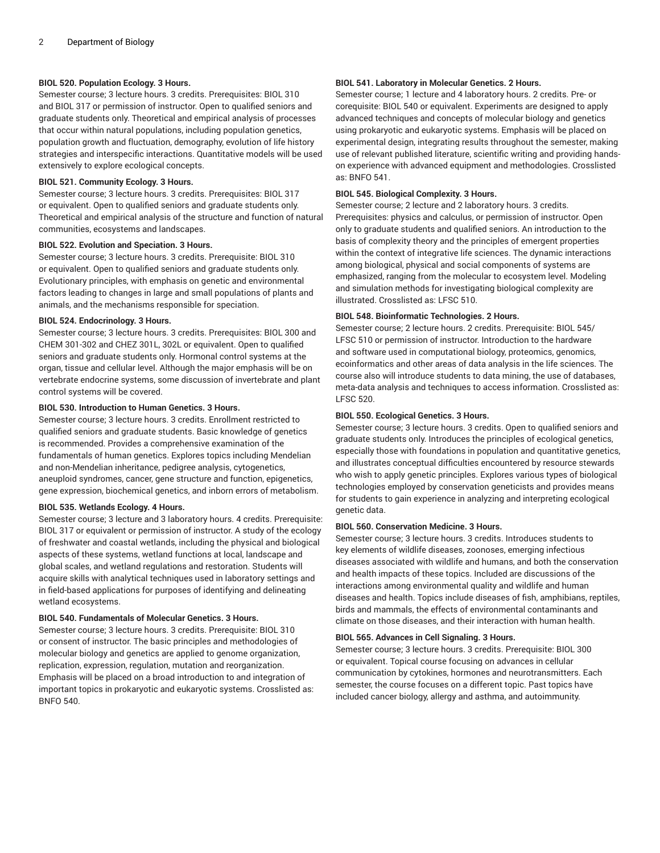# **BIOL 520. Population Ecology. 3 Hours.**

Semester course; 3 lecture hours. 3 credits. Prerequisites: BIOL 310 and BIOL 317 or permission of instructor. Open to qualified seniors and graduate students only. Theoretical and empirical analysis of processes that occur within natural populations, including population genetics, population growth and fluctuation, demography, evolution of life history strategies and interspecific interactions. Quantitative models will be used extensively to explore ecological concepts.

#### **BIOL 521. Community Ecology. 3 Hours.**

Semester course; 3 lecture hours. 3 credits. Prerequisites: BIOL 317 or equivalent. Open to qualified seniors and graduate students only. Theoretical and empirical analysis of the structure and function of natural communities, ecosystems and landscapes.

#### **BIOL 522. Evolution and Speciation. 3 Hours.**

Semester course; 3 lecture hours. 3 credits. Prerequisite: BIOL 310 or equivalent. Open to qualified seniors and graduate students only. Evolutionary principles, with emphasis on genetic and environmental factors leading to changes in large and small populations of plants and animals, and the mechanisms responsible for speciation.

#### **BIOL 524. Endocrinology. 3 Hours.**

Semester course; 3 lecture hours. 3 credits. Prerequisites: BIOL 300 and CHEM 301-302 and CHEZ 301L, 302L or equivalent. Open to qualified seniors and graduate students only. Hormonal control systems at the organ, tissue and cellular level. Although the major emphasis will be on vertebrate endocrine systems, some discussion of invertebrate and plant control systems will be covered.

#### **BIOL 530. Introduction to Human Genetics. 3 Hours.**

Semester course; 3 lecture hours. 3 credits. Enrollment restricted to qualified seniors and graduate students. Basic knowledge of genetics is recommended. Provides a comprehensive examination of the fundamentals of human genetics. Explores topics including Mendelian and non-Mendelian inheritance, pedigree analysis, cytogenetics, aneuploid syndromes, cancer, gene structure and function, epigenetics, gene expression, biochemical genetics, and inborn errors of metabolism.

#### **BIOL 535. Wetlands Ecology. 4 Hours.**

Semester course; 3 lecture and 3 laboratory hours. 4 credits. Prerequisite: BIOL 317 or equivalent or permission of instructor. A study of the ecology of freshwater and coastal wetlands, including the physical and biological aspects of these systems, wetland functions at local, landscape and global scales, and wetland regulations and restoration. Students will acquire skills with analytical techniques used in laboratory settings and in field-based applications for purposes of identifying and delineating wetland ecosystems.

#### **BIOL 540. Fundamentals of Molecular Genetics. 3 Hours.**

Semester course; 3 lecture hours. 3 credits. Prerequisite: BIOL 310 or consent of instructor. The basic principles and methodologies of molecular biology and genetics are applied to genome organization, replication, expression, regulation, mutation and reorganization. Emphasis will be placed on a broad introduction to and integration of important topics in prokaryotic and eukaryotic systems. Crosslisted as: BNFO 540.

# **BIOL 541. Laboratory in Molecular Genetics. 2 Hours.**

Semester course; 1 lecture and 4 laboratory hours. 2 credits. Pre- or corequisite: BIOL 540 or equivalent. Experiments are designed to apply advanced techniques and concepts of molecular biology and genetics using prokaryotic and eukaryotic systems. Emphasis will be placed on experimental design, integrating results throughout the semester, making use of relevant published literature, scientific writing and providing handson experience with advanced equipment and methodologies. Crosslisted as: BNFO 541.

# **BIOL 545. Biological Complexity. 3 Hours.**

Semester course; 2 lecture and 2 laboratory hours. 3 credits. Prerequisites: physics and calculus, or permission of instructor. Open only to graduate students and qualified seniors. An introduction to the basis of complexity theory and the principles of emergent properties within the context of integrative life sciences. The dynamic interactions among biological, physical and social components of systems are emphasized, ranging from the molecular to ecosystem level. Modeling and simulation methods for investigating biological complexity are illustrated. Crosslisted as: LFSC 510.

#### **BIOL 548. Bioinformatic Technologies. 2 Hours.**

Semester course; 2 lecture hours. 2 credits. Prerequisite: BIOL 545/ LFSC 510 or permission of instructor. Introduction to the hardware and software used in computational biology, proteomics, genomics, ecoinformatics and other areas of data analysis in the life sciences. The course also will introduce students to data mining, the use of databases, meta-data analysis and techniques to access information. Crosslisted as: LFSC 520.

#### **BIOL 550. Ecological Genetics. 3 Hours.**

Semester course; 3 lecture hours. 3 credits. Open to qualified seniors and graduate students only. Introduces the principles of ecological genetics, especially those with foundations in population and quantitative genetics, and illustrates conceptual difficulties encountered by resource stewards who wish to apply genetic principles. Explores various types of biological technologies employed by conservation geneticists and provides means for students to gain experience in analyzing and interpreting ecological genetic data.

#### **BIOL 560. Conservation Medicine. 3 Hours.**

Semester course; 3 lecture hours. 3 credits. Introduces students to key elements of wildlife diseases, zoonoses, emerging infectious diseases associated with wildlife and humans, and both the conservation and health impacts of these topics. Included are discussions of the interactions among environmental quality and wildlife and human diseases and health. Topics include diseases of fish, amphibians, reptiles, birds and mammals, the effects of environmental contaminants and climate on those diseases, and their interaction with human health.

#### **BIOL 565. Advances in Cell Signaling. 3 Hours.**

Semester course; 3 lecture hours. 3 credits. Prerequisite: BIOL 300 or equivalent. Topical course focusing on advances in cellular communication by cytokines, hormones and neurotransmitters. Each semester, the course focuses on a different topic. Past topics have included cancer biology, allergy and asthma, and autoimmunity.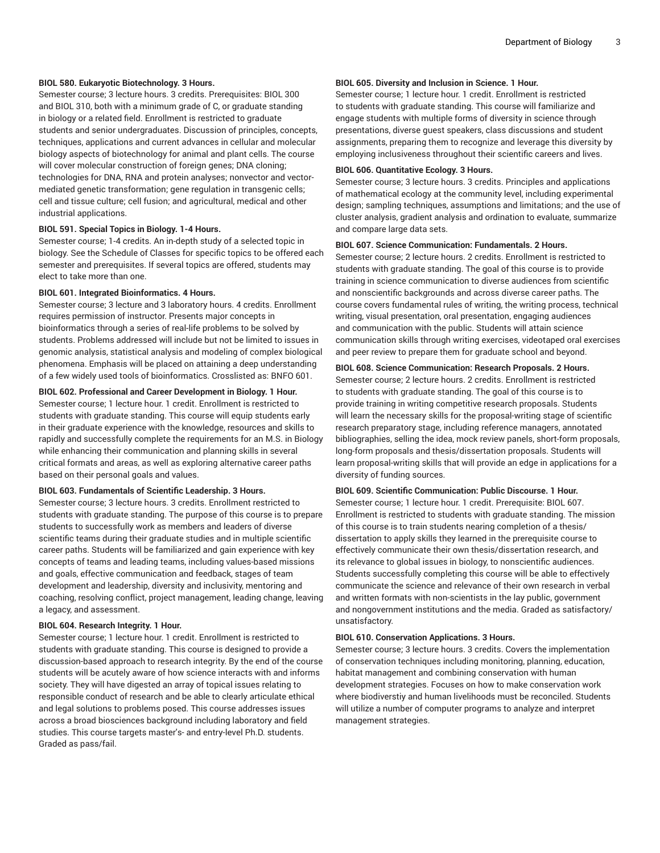# **BIOL 580. Eukaryotic Biotechnology. 3 Hours.**

Semester course; 3 lecture hours. 3 credits. Prerequisites: BIOL 300 and BIOL 310, both with a minimum grade of C, or graduate standing in biology or a related field. Enrollment is restricted to graduate students and senior undergraduates. Discussion of principles, concepts, techniques, applications and current advances in cellular and molecular biology aspects of biotechnology for animal and plant cells. The course will cover molecular construction of foreign genes; DNA cloning; technologies for DNA, RNA and protein analyses; nonvector and vectormediated genetic transformation; gene regulation in transgenic cells; cell and tissue culture; cell fusion; and agricultural, medical and other industrial applications.

#### **BIOL 591. Special Topics in Biology. 1-4 Hours.**

Semester course; 1-4 credits. An in-depth study of a selected topic in biology. See the Schedule of Classes for specific topics to be offered each semester and prerequisites. If several topics are offered, students may elect to take more than one.

#### **BIOL 601. Integrated Bioinformatics. 4 Hours.**

Semester course; 3 lecture and 3 laboratory hours. 4 credits. Enrollment requires permission of instructor. Presents major concepts in bioinformatics through a series of real-life problems to be solved by students. Problems addressed will include but not be limited to issues in genomic analysis, statistical analysis and modeling of complex biological phenomena. Emphasis will be placed on attaining a deep understanding of a few widely used tools of bioinformatics. Crosslisted as: BNFO 601.

#### **BIOL 602. Professional and Career Development in Biology. 1 Hour.**

Semester course; 1 lecture hour. 1 credit. Enrollment is restricted to students with graduate standing. This course will equip students early in their graduate experience with the knowledge, resources and skills to rapidly and successfully complete the requirements for an M.S. in Biology while enhancing their communication and planning skills in several critical formats and areas, as well as exploring alternative career paths based on their personal goals and values.

# **BIOL 603. Fundamentals of Scientific Leadership. 3 Hours.**

Semester course; 3 lecture hours. 3 credits. Enrollment restricted to students with graduate standing. The purpose of this course is to prepare students to successfully work as members and leaders of diverse scientific teams during their graduate studies and in multiple scientific career paths. Students will be familiarized and gain experience with key concepts of teams and leading teams, including values-based missions and goals, effective communication and feedback, stages of team development and leadership, diversity and inclusivity, mentoring and coaching, resolving conflict, project management, leading change, leaving a legacy, and assessment.

#### **BIOL 604. Research Integrity. 1 Hour.**

Semester course; 1 lecture hour. 1 credit. Enrollment is restricted to students with graduate standing. This course is designed to provide a discussion-based approach to research integrity. By the end of the course students will be acutely aware of how science interacts with and informs society. They will have digested an array of topical issues relating to responsible conduct of research and be able to clearly articulate ethical and legal solutions to problems posed. This course addresses issues across a broad biosciences background including laboratory and field studies. This course targets master's- and entry-level Ph.D. students. Graded as pass/fail.

# **BIOL 605. Diversity and Inclusion in Science. 1 Hour.**

Semester course; 1 lecture hour. 1 credit. Enrollment is restricted to students with graduate standing. This course will familiarize and engage students with multiple forms of diversity in science through presentations, diverse guest speakers, class discussions and student assignments, preparing them to recognize and leverage this diversity by employing inclusiveness throughout their scientific careers and lives.

# **BIOL 606. Quantitative Ecology. 3 Hours.**

Semester course; 3 lecture hours. 3 credits. Principles and applications of mathematical ecology at the community level, including experimental design; sampling techniques, assumptions and limitations; and the use of cluster analysis, gradient analysis and ordination to evaluate, summarize and compare large data sets.

#### **BIOL 607. Science Communication: Fundamentals. 2 Hours.**

Semester course; 2 lecture hours. 2 credits. Enrollment is restricted to students with graduate standing. The goal of this course is to provide training in science communication to diverse audiences from scientific and nonscientific backgrounds and across diverse career paths. The course covers fundamental rules of writing, the writing process, technical writing, visual presentation, oral presentation, engaging audiences and communication with the public. Students will attain science communication skills through writing exercises, videotaped oral exercises and peer review to prepare them for graduate school and beyond.

#### **BIOL 608. Science Communication: Research Proposals. 2 Hours.**

Semester course; 2 lecture hours. 2 credits. Enrollment is restricted to students with graduate standing. The goal of this course is to provide training in writing competitive research proposals. Students will learn the necessary skills for the proposal-writing stage of scientific research preparatory stage, including reference managers, annotated bibliographies, selling the idea, mock review panels, short-form proposals, long-form proposals and thesis/dissertation proposals. Students will learn proposal-writing skills that will provide an edge in applications for a diversity of funding sources.

# **BIOL 609. Scientific Communication: Public Discourse. 1 Hour.**

Semester course; 1 lecture hour. 1 credit. Prerequisite: BIOL 607. Enrollment is restricted to students with graduate standing. The mission of this course is to train students nearing completion of a thesis/ dissertation to apply skills they learned in the prerequisite course to effectively communicate their own thesis/dissertation research, and its relevance to global issues in biology, to nonscientific audiences. Students successfully completing this course will be able to effectively communicate the science and relevance of their own research in verbal and written formats with non-scientists in the lay public, government and nongovernment institutions and the media. Graded as satisfactory/ unsatisfactory.

#### **BIOL 610. Conservation Applications. 3 Hours.**

Semester course; 3 lecture hours. 3 credits. Covers the implementation of conservation techniques including monitoring, planning, education, habitat management and combining conservation with human development strategies. Focuses on how to make conservation work where biodiverstiy and human livelihoods must be reconciled. Students will utilize a number of computer programs to analyze and interpret management strategies.